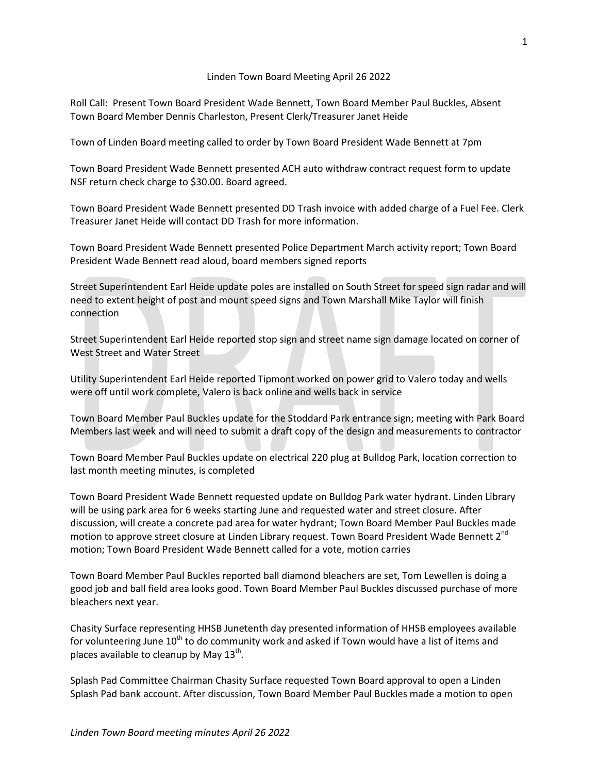## Linden Town Board Meeting April 26 2022

Roll Call: Present Town Board President Wade Bennett, Town Board Member Paul Buckles, Absent Town Board Member Dennis Charleston, Present Clerk/Treasurer Janet Heide

Town of Linden Board meeting called to order by Town Board President Wade Bennett at 7pm

Town Board President Wade Bennett presented ACH auto withdraw contract request form to update NSF return check charge to \$30.00. Board agreed.

Town Board President Wade Bennett presented DD Trash invoice with added charge of a Fuel Fee. Clerk Treasurer Janet Heide will contact DD Trash for more information.

Town Board President Wade Bennett presented Police Department March activity report; Town Board President Wade Bennett read aloud, board members signed reports

Street Superintendent Earl Heide update poles are installed on South Street for speed sign radar and will need to extent height of post and mount speed signs and Town Marshall Mike Taylor will finish connection

Street Superintendent Earl Heide reported stop sign and street name sign damage located on corner of West Street and Water Street

Utility Superintendent Earl Heide reported Tipmont worked on power grid to Valero today and wells were off until work complete, Valero is back online and wells back in service

Town Board Member Paul Buckles update for the Stoddard Park entrance sign; meeting with Park Board Members last week and will need to submit a draft copy of the design and measurements to contractor

Town Board Member Paul Buckles update on electrical 220 plug at Bulldog Park, location correction to last month meeting minutes, is completed

Town Board President Wade Bennett requested update on Bulldog Park water hydrant. Linden Library will be using park area for 6 weeks starting June and requested water and street closure. After discussion, will create a concrete pad area for water hydrant; Town Board Member Paul Buckles made motion to approve street closure at Linden Library request. Town Board President Wade Bennett 2<sup>nd</sup> motion; Town Board President Wade Bennett called for a vote, motion carries

Town Board Member Paul Buckles reported ball diamond bleachers are set, Tom Lewellen is doing a good job and ball field area looks good. Town Board Member Paul Buckles discussed purchase of more bleachers next year.

Chasity Surface representing HHSB Junetenth day presented information of HHSB employees available for volunteering June  $10^{th}$  to do community work and asked if Town would have a list of items and places available to cleanup by May 13<sup>th</sup>.

Splash Pad Committee Chairman Chasity Surface requested Town Board approval to open a Linden Splash Pad bank account. After discussion, Town Board Member Paul Buckles made a motion to open